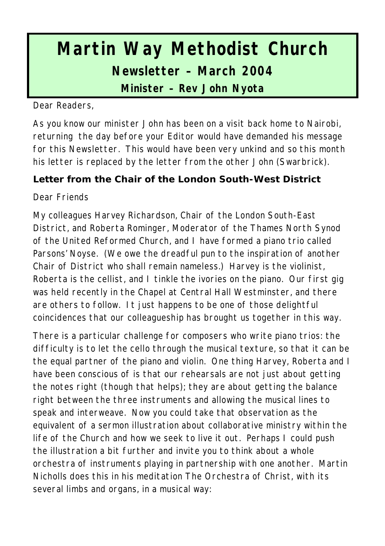# **Martin Way Methodist Church Newsletter – March 2004**

**Minister – Rev John Nyota**

Dear Readers,

As you know our minister John has been on a visit back home to Nairobi, returning the day before your Editor would have demanded his message for this Newsletter. This would have been very unkind and so this month his letter is replaced by the letter from the other John (Swarbrick).

## **Letter from the Chair of the London South-West District**

Dear Friends

My colleagues Harvey Richardson, Chair of the London South-East District, and Roberta Rominger, Moderator of the Thames North Synod of the United Reformed Church, and I have formed a piano trio called Parsons' Noyse. (We owe the dreadful pun to the inspiration of another Chair of District who shall remain nameless.) Harvey is the violinist, Roberta is the cellist, and I tinkle the ivories on the piano. Our first gig was held recently in the Chapel at Central Hall Westminster, and there are others to follow. It just happens to be one of those delightful coincidences that our colleagueship has brought us together in this way.

There is a particular challenge for composers who write piano trios: the difficulty is to let the cello through the musical texture, so that it can be the equal partner of the piano and violin. One thing Harvey, Roberta and I have been conscious of is that our rehearsals are not just about getting the notes right (though that helps); they are about getting the balance right between the three instruments and allowing the musical lines to speak and interweave. Now you could take that observation as the equivalent of a sermon illustration about collaborative ministry within the life of the Church and how we seek to live it out. Perhaps I could push the illustration a bit further and invite you to think about a whole orchestra of instruments playing in partnership with one another. Martin Nicholls does this in his meditation *The Orchestra of Christ*, with its several limbs and organs, in a musical way: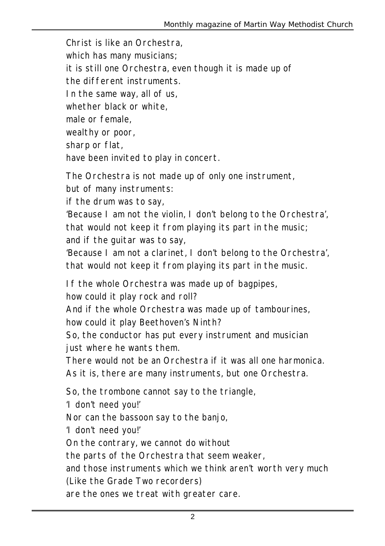Christ is like an Orchestra, which has many musicians; it is still one Orchestra, even though it is made up of the different instruments. In the same way, all of us, whether black or white, male or female wealthy or poor, sharp or flat, have been invited to play in concert. The Orchestra is not made up of only one instrument, but of many instruments:

if the drum was to say,

'Because I am not the violin, I don't belong to the Orchestra', that would not keep it from playing its part in the music; and if the guitar was to say,

'Because I am not a clarinet, I don't belong to the Orchestra', that would not keep it from playing its part in the music.

If the whole Orchestra was made up of bagpipes,

how could it play rock and roll?

And if the whole Orchestra was made up of tambourines, how could it play Beethoven's Ninth?

So, the conductor has put every instrument and musician just where he wants them.

There would not be an Orchestra if it was all one harmonica.

As it is, there are many instruments, but one Orchestra.

So, the trombone cannot say to the triangle,

'I don't need you!'

Nor can the bassoon say to the banjo,

'I don't need you!'

On the contrary, we cannot do without

the parts of the Orchestra that seem weaker,

and those instruments which we think aren't worth very much

(Like the Grade Two recorders)

are the ones we treat with greater care.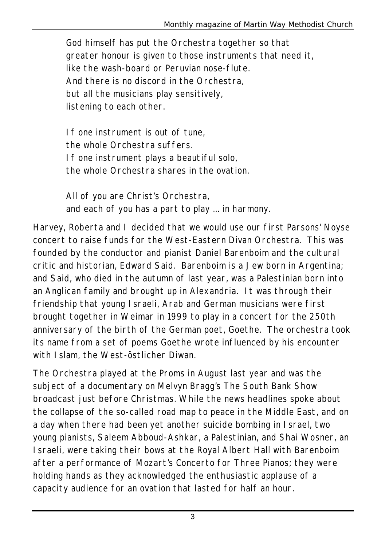God himself has put the Orchestra together so that greater honour is given to those instruments that need it, like the wash-board or Peruvian nose-flute. And there is no discord in the Orchestra, but all the musicians play sensitively, listening to each other.

If one instrument is out of tune, the whole Orchestra suffers. If one instrument plays a beautiful solo, the whole Orchestra shares in the ovation.

All of you are Christ's Orchestra, and each of you has a part to play ... in harmony.

Harvey, Roberta and I decided that we would use our first Parsons' Noyse concert to raise funds for the West-Eastern Divan Orchestra. This was founded by the conductor and pianist Daniel Barenboim and the cultural critic and historian, Edward Said. Barenboim is a Jew born in Argentina; and Said, who died in the autumn of last year, was a Palestinian born into an Anglican family and brought up in Alexandria. It was through their friendship that young Israeli, Arab and German musicians were first brought together in Weimar in 1999 to play in a concert for the 250th anniversary of the birth of the German poet, Goethe. The orchestra took its name from a set of poems Goethe wrote influenced by his encounter with Islam, the West-östlicher Diwan.

The Orchestra played at the Proms in August last year and was the subject of a documentary on Melvyn Bragg's The South Bank Show broadcast just before Christmas. While the news headlines spoke about the collapse of the so-called road map to peace in the Middle East, and on a day when there had been yet another suicide bombing in Israel, two young pianists, Saleem Abboud-Ashkar, a Palestinian, and Shai Wosner, an Israeli, were taking their bows at the Royal Albert Hall with Barenboim after a performance of Mozart's Concerto for Three Pianos; they were holding hands as they acknowledged the enthusiastic applause of a capacity audience for an ovation that lasted for half an hour.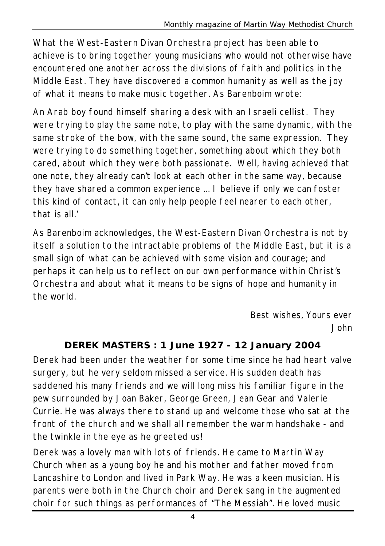What the West-Eastern Divan Orchestra project has been able to achieve is to bring together young musicians who would not otherwise have encountered one another across the divisions of faith and politics in the Middle East. They have discovered a common humanity as well as the joy of what it means to make music together. As Barenboim wrote:

An Arab boy found himself sharing a desk with an Israeli cellist. They were trying to play the same note, to play with the same dynamic, with the same stroke of the bow, with the same sound, the same expression. They were trying to do something together, something about which they both cared, about which they were both passionate. Well, having achieved that one note, they already can't look at each other in the same way, because they have shared a common experience ... I believe if only we can foster this kind of contact, it can only help people feel nearer to each other, that is all.'

As Barenboim acknowledges, the West-Eastern Divan Orchestra is not by itself a solution to the intractable problems of the Middle East, but it is a small sign of what can be achieved with some vision and courage; and perhaps it can help us to reflect on our own performance within Christ's Orchestra and about what it means to be signs of hope and humanity in the world.

> *Best wishes, Yours ever John*

#### **DEREK MASTERS : 1 June 1927 - 12 January 2004**

Derek had been under the weather for some time since he had heart valve surgery, but he very seldom missed a service. His sudden death has saddened his many friends and we will long miss his familiar figure in the pew surrounded by Joan Baker, George Green, Jean Gear and Valerie Currie. He was always there to stand up and welcome those who sat at the front of the church and we shall all remember the warm handshake - and the twinkle in the eye as he greeted us!

Derek was a lovely man with lots of friends. He came to Martin Way Church when as a young boy he and his mother and father moved from Lancashire to London and lived in Park Way. He was a keen musician. His parents were both in the Church choir and Derek sang in the augmented choir for such things as performances of "The Messiah". He loved music

4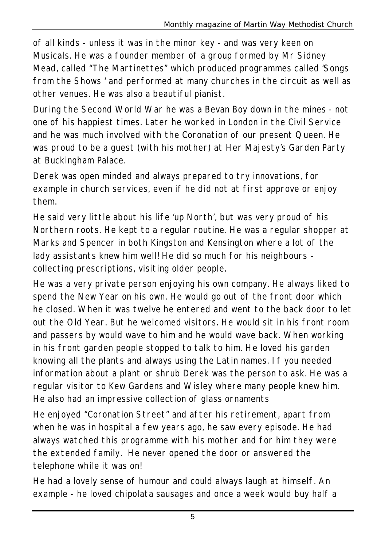of all kinds - unless it was in the minor key - and was very keen on Musicals. He was a founder member of a group formed by Mr Sidney Mead, called "The Martinettes" which produced programmes called 'Songs from the Shows ' and performed at many churches in the circuit as well as other venues. He was also a beautiful pianist.

During the Second World War he was a Bevan Boy down in the mines - not one of his happiest times. Later he worked in London in the Civil Service and he was much involved with the Coronation of our present Queen. He was proud to be a guest (with his mother) at Her Majesty's Garden Party at Buckingham Palace.

Derek was open minded and always prepared to try innovations, for example in church services, even if he did not at first approve or enjoy them.

He said very little about his life 'up North', but was very proud of his Northern roots. He kept to a regular routine. He was a regular shopper at Marks and Spencer in both Kingston and Kensington where a lot of the lady assistants knew him well! He did so much for his neighbours collecting prescriptions, visiting older people.

He was a very private person enjoying his own company. He always liked to spend the New Year on his own. He would go out of the front door which he closed. When it was twelve he entered and went to the back door to let out the Old Year. But he welcomed visitors. He would sit in his front room and passers by would wave to him and he would wave back. When working in his front garden people stopped to talk to him. He loved his garden knowing all the plants and always using the Latin names. If you needed information about a plant or shrub Derek was the person to ask. He was a regular visitor to Kew Gardens and Wisley where many people knew him. He also had an impressive collection of glass ornaments

He enjoyed "Coronation Street" and after his retirement, apart from when he was in hospital a few years ago, he saw every episode. He had always watched this programme with his mother and for him they were the extended family. He never opened the door or answered the telephone while it was on!

He had a lovely sense of humour and could always laugh at himself. An example - he loved chipolata sausages and once a week would buy half a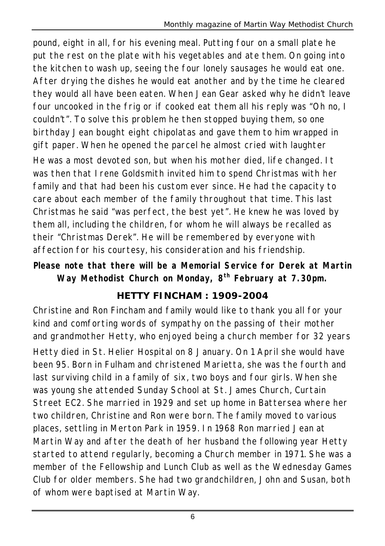pound, eight in all, for his evening meal. Putting four on a small plate he put the rest on the plate with his vegetables and ate them. On going into the kitchen to wash up, seeing the four lonely sausages he would eat one. After drying the dishes he would eat another and by the time he cleared they would all have been eaten. When Jean Gear asked why he didn't leave four uncooked in the frig or if cooked eat them all his reply was "Oh no, I couldn't". To solve this problem he then stopped buying them, so one birthday Jean bought eight chipolatas and gave them to him wrapped in gift paper. When he opened the parcel he almost cried with laughter He was a most devoted son, but when his mother died, life changed. It

was then that Irene Goldsmith invited him to spend Christmas with her family and that had been his custom ever since. He had the capacity to care about each member of the family throughout that time. This last Christmas he said "was perfect, the best yet". He knew he was loved by them all, including the children, for whom he will always be recalled as their "Christmas Derek". He will be remembered by everyone with affection for his courtesy, his consideration and his friendship.

**Please note that there will be a Memorial Service for Derek at Martin Way Methodist Church on Monday, 8th February at 7.30pm.**

## **HETTY FINCHAM : 1909-2004**

Christine and Ron Fincham and family would like to thank you all for your kind and comforting words of sympathy on the passing of their mother and grandmother Hetty, who enjoyed being a church member for 32 years Hetty died in St. Helier Hospital on 8 January. On 1 April she would have been 95. Born in Fulham and christened Marietta, she was the fourth and last surviving child in a family of six, two boys and four girls. When she was young she attended Sunday School at St. James Church, Curtain Street EC2. She married in 1929 and set up home in Battersea where her two children, Christine and Ron were born. The family moved to various places, settling in Merton Park in 1959. In 1968 Ron married Jean at Martin Way and after the death of her husband the following year Hetty started to attend regularly, becoming a Church member in 1971. She was a member of the Fellowship and Lunch Club as well as the Wednesday Games Club for older members. She had two grandchildren, John and Susan, both of whom were baptised at Martin Way.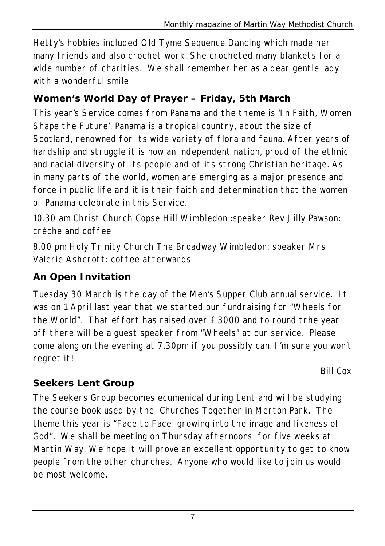Hetty's hobbies included Old Tyme Sequence Dancing which made her many friends and also crochet work. She crocheted many blankets for a wide number of charities. We shall remember her as a dear gentle lady with a wonderful smile

# **Women's World Day of Prayer – Friday, 5th March**

This year's Service comes from Panama and the theme is 'In Faith, Women Shape the Future'. Panama is a tropical country, about the size of Scotland, renowned for its wide variety of flora and fauna. After years of hardship and struggle it is now an independent nation, proud of the ethnic and racial diversity of its people and of its strong Christian heritage. As in many parts of the world, women are emerging as a major presence and force in public life and it is their faith and determination that the women of Panama celebrate in this Service.

10.30 am Christ Church Copse Hill Wimbledon :speaker Rev Jilly Pawson: crèche and coffee

8.00 pm Holy Trinity Church The Broadway Wimbledon: speaker Mrs Valerie Ashcroft: coffee afterwards

## **An Open Invitation**

Tuesday 30 March is the day of the Men's Supper Club annual service. It was on 1 April last year that we started our fundraising for "Wheels for the World". That effort has raised over £3000 and to round trhe year off there will be a guest speaker from "Wheels" at our service. Please come along on the evening at 7.30pm if you possibly can. I'm sure you won't regret it!

*Bill Cox*

## **Seekers Lent Group**

The Seekers Group becomes ecumenical during Lent and will be studying the course book used by the Churches Together in Merton Park. The theme this year is "Face to Face: growing into the image and likeness of God". We shall be meeting on Thursday afternoons for five weeks at Martin Way. We hope it will prove an excellent opportunity to get to know people from the other churches. Anyone who would like to join us would be most welcome.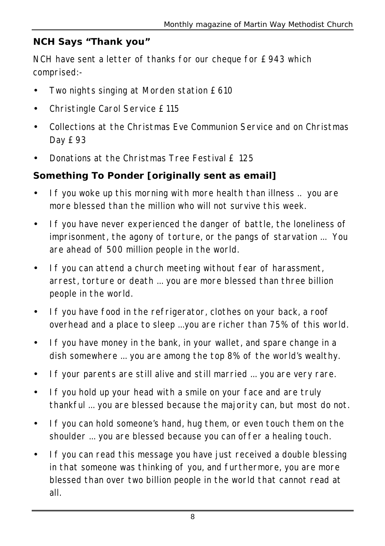### **NCH Says "Thank you"**

NCH have sent a letter of thanks for our cheque for £943 which comprised:-

- Two nights singing at Morden station £610
- Christingle Carol Service £115
- Collections at the Christmas Eve Communion Service and on Christmas Day £93
- Donations at the Christmas Tree Festival £ 125

## **Something To Ponder [originally sent as email]**

- If you woke up this morning with more health than illness .. you are more blessed than the million who will not survive this week.
- If you have never experienced the danger of battle, the loneliness of imprisonment, the agony of torture, or the pangs of starvation ... You are ahead of 500 million people in the world.
- If you can attend a church meeting without fear of harassment, arrest, torture or death ... you are more blessed than three billion people in the world.
- If you have food in the refrigerator, clothes on your back, a roof overhead and a place to sleep ...you are richer than 75% of this world.
- If you have money in the bank, in your wallet, and spare change in a dish somewhere ... you are among the top 8% of the world's wealthy.
- If your parents are still alive and still married ... you are very rare.
- If you hold up your head with a smile on your face and are truly thankful ... you are blessed because the majority can, but most do not.
- If you can hold someone's hand, hug them, or even touch them on the shoulder ... you are blessed because you can offer a healing touch.
- If you can read this message you have just received a double blessing in that someone was thinking of you, and furthermore, you are more blessed than over two billion people in the world that cannot read at all.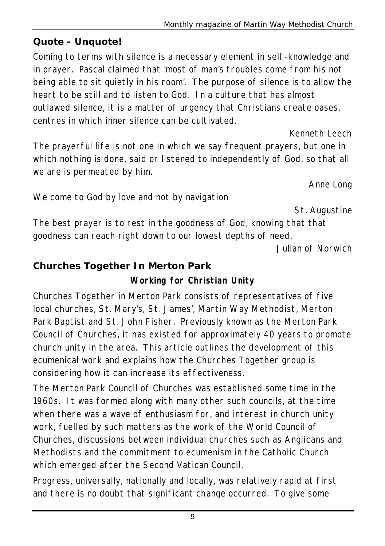#### **Quote - Unquote!**

Coming to terms with silence is a necessary element in self-knowledge and in prayer. Pascal claimed that 'most of man's troubles come from his not being able to sit quietly in his room'. The purpose of silence is to allow the heart to be still and to listen to God. In a culture that has almost outlawed silence, it is a matter of urgency that Christians create oases, centres in which inner silence can be cultivated.

The prayerful life is not one in which we say frequent prayers, but one in which nothing is done, said or listened to independently of God, so that all we are is permeated by him.

*Anne Long*

*Kenneth Leech*

*St. Augustine*

The best prayer is to rest in the goodness of God, knowing that that goodness can reach right down to our lowest depths of need.

*Julian of Norwich*

#### **Churches Together In Merton Park**

We come to God by love and not by navigation

**Working for Christian Unity**

*Churches Together in Merton Park consists of representatives of five local churches, St. Mary's, St. James', Martin Way Methodist, Merton Park Baptist and St. John Fisher. Previously known as the Merton Park Council of Churches, it has existed for approximately 40 years to promote church unity in the area. This article outlines the development of this ecumenical work and explains how the Churches Together group is considering how it can increase its effectiveness.*

The Merton Park Council of Churches was established some time in the 1960s. It was formed along with many other such councils, at the time when there was a wave of enthusiasm for, and interest in church unity work, fuelled by such matters as the work of the World Council of Churches, discussions between individual churches such as Anglicans and Methodists and the commitment to ecumenism in the Catholic Church which emerged after the Second Vatican Council.

Progress, universally, nationally and locally, was relatively rapid at first and there is no doubt that significant change occurred. To give some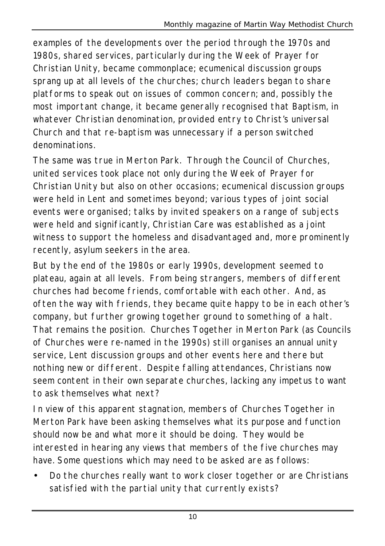examples of the developments over the period through the 1970s and 1980s, shared services, particularly during the Week of Prayer for Christian Unity, became commonplace; ecumenical discussion groups sprang up at all levels of the churches; church leaders began to share platforms to speak out on issues of common concern; and, possibly the most important change, it became generally recognised that Baptism, in whatever Christian denomination, provided entry to Christ's universal Church and that re-baptism was unnecessary if a person switched denominations.

The same was true in Merton Park. Through the Council of Churches, united services took place not only during the Week of Prayer for Christian Unity but also on other occasions; ecumenical discussion groups were held in Lent and sometimes beyond; various types of joint social events were organised; talks by invited speakers on a range of subjects were held and significantly, Christian Care was established as a joint witness to support the homeless and disadvantaged and, more prominently recently, asylum seekers in the area.

But by the end of the 1980s or early 1990s, development seemed to plateau, again at all levels. From being strangers, members of different churches had become friends, comfortable with each other. And, as often the way with friends, they became quite happy to be in each other's company, but further growing together ground to something of a halt. That remains the position. Churches Together in Merton Park (as Councils of Churches were re-named in the 1990s) still organises an annual unity service, Lent discussion groups and other events here and there but nothing new or different. Despite falling attendances, Christians now seem content in their own separate churches, lacking any impetus to want to ask themselves what next?

In view of this apparent stagnation, members of Churches Together in Merton Park have been asking themselves what its purpose and function should now be and what more it should be doing. They would be interested in hearing any views that members of the five churches may have. Some questions which may need to be asked are as follows:

• Do the churches really want to work closer together or are Christians satisfied with the partial unity that currently exists?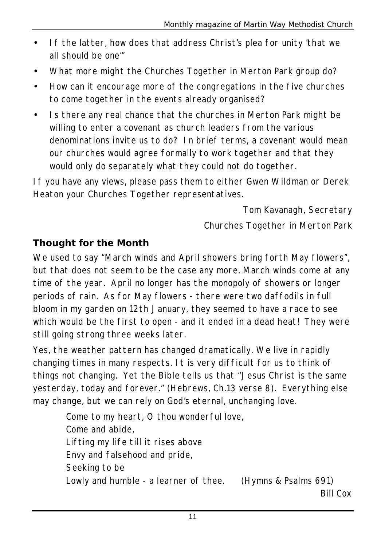- If the latter, how does that address Christ's plea for unity 'that we all should be one'"
- What more might the Churches Together in Merton Park group do?
- How can it encourage more of the congregations in the five churches to come together in the events already organised?
- Is there any real chance that the churches in Merton Park might be willing to enter a covenant as church leaders from the various denominations invite us to do? In brief terms, a covenant would mean our churches would agree formally to work together and that they would only do separately what they could not do together.

If you have any views, please pass them to either Gwen Wildman or Derek Heaton your Churches Together representatives.

> *Tom Kavanagh, Secretary Churches Together in Merton Park*

## **Thought for the Month**

We used to say "March winds and April showers bring forth May flowers", but that does not seem to be the case any more. March winds come at any time of the year. April no longer has the monopoly of showers or longer periods of rain. As for May flowers - there were two daffodils in full bloom in my garden on 12th January, they seemed to have a race to see which would be the first to open - and it ended in a dead heat! They were still going strong three weeks later.

Yes, the weather pattern has changed dramatically. We live in rapidly changing times in many respects. It is very difficult for us to think of things not changing. Yet the Bible tells us that "Jesus Christ is the same yesterday, today and forever." (Hebrews, Ch.13 verse 8). Everything else may change, but we can rely on God's eternal, unchanging love.

> Come to my heart, O thou wonderful love, Come and abide, Lifting my life till it rises above Envy and falsehood and pride, Seeking to be Lowly and humble - a learner of thee. *(Hymns & Psalms 691) Bill Cox*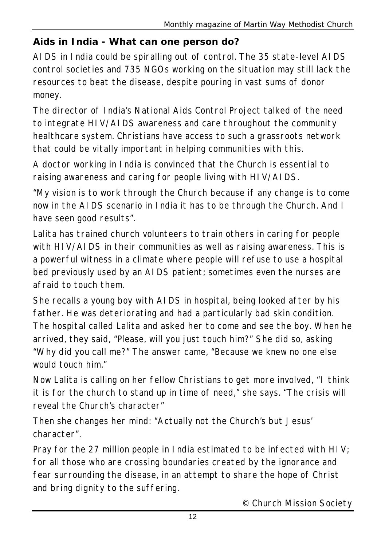## **Aids in India - What can one person do?**

AIDS in India could be spiralling out of control. The 35 state-level AIDS control societies and 735 NGOs working on the situation may still lack the resources to beat the disease, despite pouring in vast sums of donor money.

The director of India's National Aids Control Project talked of the need to integrate HIV/AIDS awareness and care throughout the community healthcare system. Christians have access to such a grassroots network that could be vitally important in helping communities with this.

A doctor working in India is convinced that the Church is essential to raising awareness and caring for people living with HIV/AIDS.

"My vision is to work through the Church because if any change is to come now in the AIDS scenario in India it has to be through the Church. And I have seen good results".

Lalita has trained church volunteers to train others in caring for people with HIV/AIDS in their communities as well as raising awareness. This is a powerful witness in a climate where people will refuse to use a hospital bed previously used by an AIDS patient; sometimes even the nurses are afraid to touch them.

She recalls a young boy with AIDS in hospital, being looked after by his father. He was deteriorating and had a particularly bad skin condition. The hospital called Lalita and asked her to come and see the boy. When he arrived, they said, "Please, will you just touch him?" She did so, asking "Why did you call me?" The answer came, "Because we knew no one else would touch him."

Now Lalita is calling on her fellow Christians to get more involved, "I think it is for the church to stand up in time of need," she says. "The crisis will reveal the Church's character"

Then she changes her mind: "Actually not the Church's but Jesus' character".

Pray for the 27 million people in India estimated to be infected with HIV; for all those who are crossing boundaries created by the ignorance and fear surrounding the disease, in an attempt to share the hope of Christ and bring dignity to the suffering.

*© Church Mission Society*